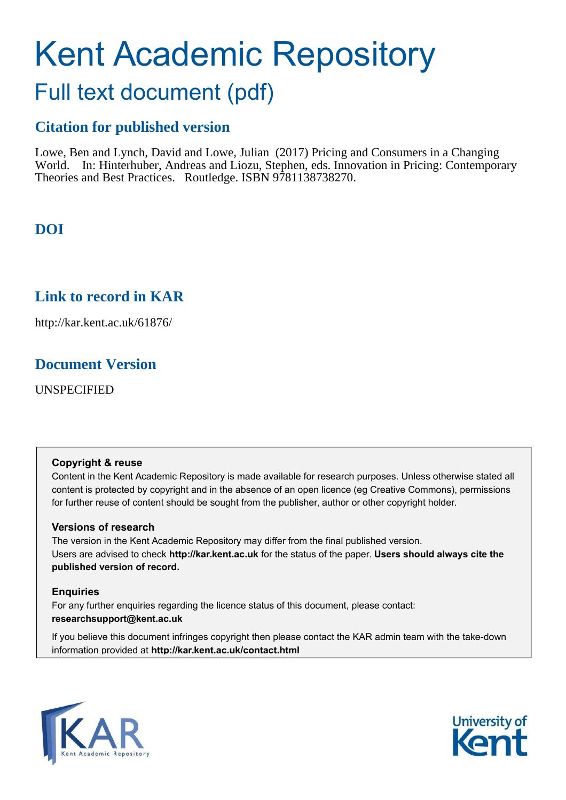# Kent Academic Repository

## Full text document (pdf)

## **Citation for published version**

Lowe, Ben and Lynch, David and Lowe, Julian (2017) Pricing and Consumers in a Changing World. In: Hinterhuber, Andreas and Liozu, Stephen, eds. Innovation in Pricing: Contemporary Theories and Best Practices. Routledge. ISBN 9781138738270.

## **DOI**

## **Link to record in KAR**

http://kar.kent.ac.uk/61876/

## **Document Version**

UNSPECIFIED

#### **Copyright & reuse**

Content in the Kent Academic Repository is made available for research purposes. Unless otherwise stated all content is protected by copyright and in the absence of an open licence (eg Creative Commons), permissions for further reuse of content should be sought from the publisher, author or other copyright holder.

#### **Versions of research**

The version in the Kent Academic Repository may differ from the final published version. Users are advised to check **http://kar.kent.ac.uk** for the status of the paper. **Users should always cite the published version of record.**

#### **Enquiries**

For any further enquiries regarding the licence status of this document, please contact: **researchsupport@kent.ac.uk**

If you believe this document infringes copyright then please contact the KAR admin team with the take-down information provided at **http://kar.kent.ac.uk/contact.html**



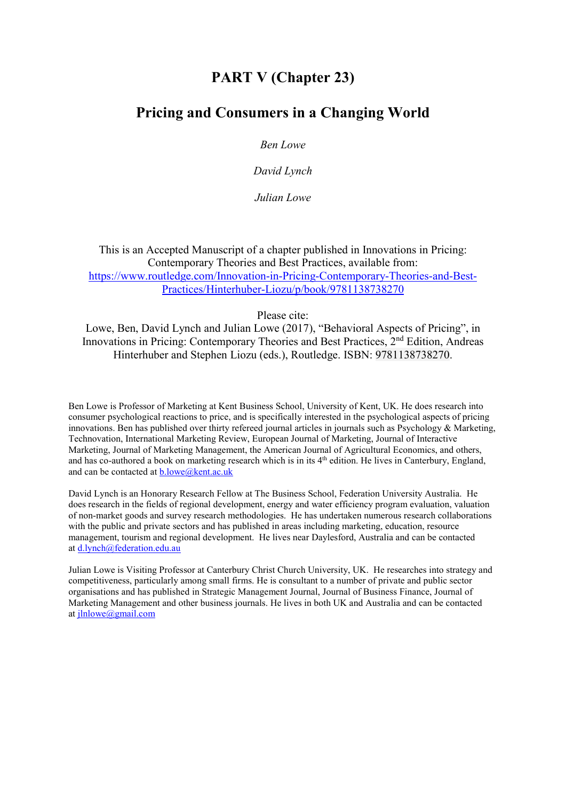## **PART V** (Chapter 23)

### **Pricing and Consumers in a Changing World**

**Ben Lowe** 

David Lynch

Julian Lowe

This is an Accepted Manuscript of a chapter published in Innovations in Pricing. Contemporary Theories and Best Practices, available from: https://www.routledge.com/Innovation-in-Pricing-Contemporary-Theories-and-Best-Practices/Hinterhuber-Liozu/p/book/9781138738270

Please cite:

Lowe, Ben, David Lynch and Julian Lowe (2017), "Behavioral Aspects of Pricing", in Innovations in Pricing: Contemporary Theories and Best Practices, 2<sup>nd</sup> Edition, Andreas Hinterhuber and Stephen Liozu (eds.), Routledge. ISBN: 9781138738270.

Ben Lowe is Professor of Marketing at Kent Business School. University of Kent. UK. He does research into consumer psychological reactions to price, and is specifically interested in the psychological aspects of pricing innovations. Ben has published over thirty refereed journal articles in journals such as Psychology & Marketing, Technovation, International Marketing Review, European Journal of Marketing, Journal of Interactive Marketing, Journal of Marketing Management, the American Journal of Agricultural Economics, and others, and has co-authored a book on marketing research which is in its 4<sup>th</sup> edition. He lives in Canterbury, England, and can be contacted at **b**.lowe@kent.ac.uk

David Lynch is an Honorary Research Fellow at The Business School, Federation University Australia. He does research in the fields of regional development, energy and water efficiency program evaluation, valuation of non-market goods and survey research methodologies. He has undertaken numerous research collaborations with the public and private sectors and has published in areas including marketing, education, resource management, tourism and regional development. He lives near Daylesford, Australia and can be contacted at d.lynch@federation.edu.au

Julian Lowe is Visiting Professor at Canterbury Christ Church University, UK. He researches into strategy and competitiveness, particularly among small firms. He is consultant to a number of private and public sector organisations and has published in Strategic Management Journal, Journal of Business Finance, Journal of Marketing Management and other business journals. He lives in both UK and Australia and can be contacted at  $ilmlowe(\partial g$  mail.com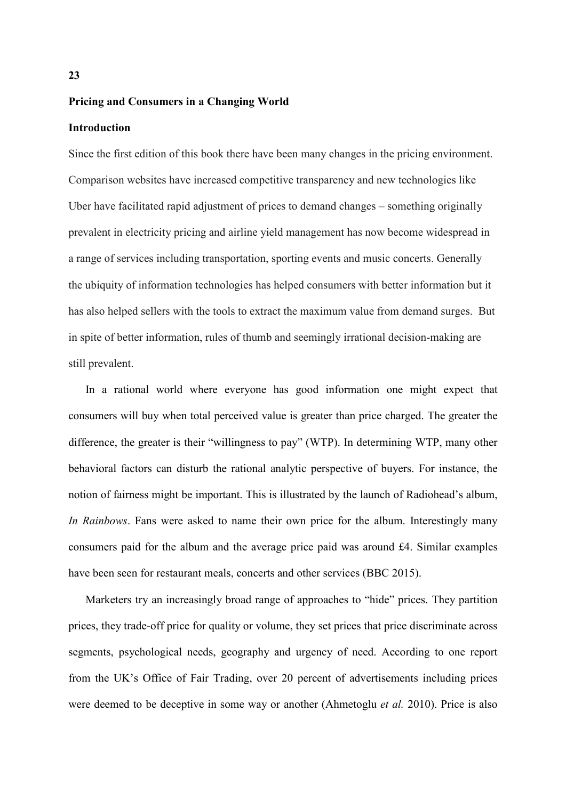#### Pricing and Consumers in a Changing World

#### **Introduction**

Since the first edition of this book there have been many changes in the pricing environment. Comparison websites have increased competitive transparency and new technologies like Uber have facilitated rapid adjustment of prices to demand changes – something originally prevalent in electricity pricing and airline yield management has now become widespread in a range of services including transportation, sporting events and music concerts. Generally the ubiquity of information technologies has helped consumers with better information but it has also helped sellers with the tools to extract the maximum value from demand surges. But in spite of better information, rules of thumb and seemingly irrational decision-making are still prevalent.

In a rational world where everyone has good information one might expect that consumers will buy when total perceived value is greater than price charged. The greater the difference, the greater is their "willingness to pay" (WTP). In determining WTP, many other behavioral factors can disturb the rational analytic perspective of buyers. For instance, the notion of fairness might be important. This is illustrated by the launch of Radiohead's album, In Rainbows. Fans were asked to name their own price for the album. Interestingly many consumers paid for the album and the average price paid was around £4. Similar examples have been seen for restaurant meals, concerts and other services (BBC 2015).

Marketers try an increasingly broad range of approaches to "hide" prices. They partition prices, they trade-off price for quality or volume, they set prices that price discriminate across segments, psychological needs, geography and urgency of need. According to one report from the UK's Office of Fair Trading, over 20 percent of advertisements including prices were deemed to be deceptive in some way or another (Ahmetoglu *et al.* 2010). Price is also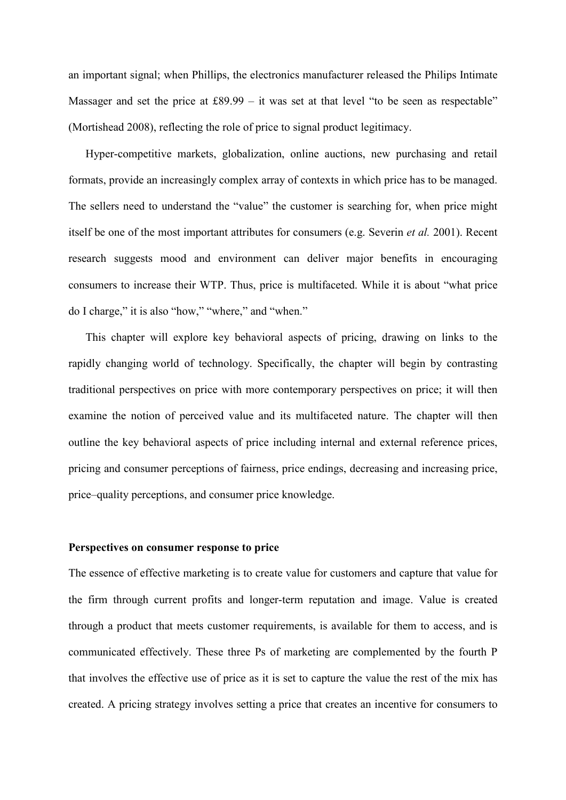an important signal; when Phillips, the electronics manufacturer released the Philips Intimate Massager and set the price at  $£89.99 - it$  was set at that level "to be seen as respectable" (Mortishead 2008), reflecting the role of price to signal product legitimacy.

Hyper-competitive markets, globalization, online auctions, new purchasing and retail formats, provide an increasingly complex array of contexts in which price has to be managed. The sellers need to understand the "value" the customer is searching for, when price might itself be one of the most important attributes for consumers (e.g. Severin *et al.* 2001). Recent research suggests mood and environment can deliver major benefits in encouraging consumers to increase their WTP. Thus, price is multifaceted. While it is about "what price do I charge," it is also "how," "where," and "when."

This chapter will explore key behavioral aspects of pricing, drawing on links to the rapidly changing world of technology. Specifically, the chapter will begin by contrasting traditional perspectives on price with more contemporary perspectives on price; it will then examine the notion of perceived value and its multifaceted nature. The chapter will then outline the key behavioral aspects of price including internal and external reference prices. pricing and consumer perceptions of fairness, price endings, decreasing and increasing price, price-quality perceptions, and consumer price knowledge.

#### Perspectives on consumer response to price

The essence of effective marketing is to create value for customers and capture that value for the firm through current profits and longer-term reputation and image. Value is created through a product that meets customer requirements, is available for them to access, and is communicated effectively. These three Ps of marketing are complemented by the fourth P that involves the effective use of price as it is set to capture the value the rest of the mix has created. A pricing strategy involves setting a price that creates an incentive for consumers to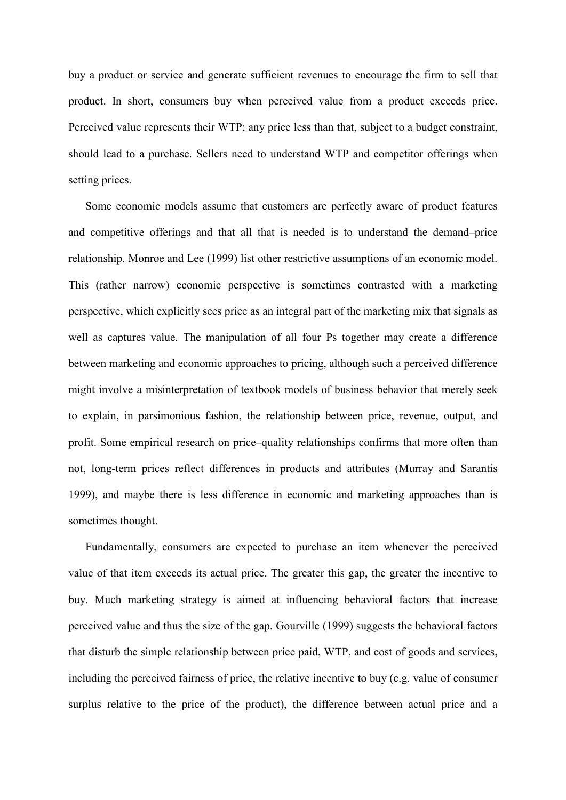buy a product or service and generate sufficient revenues to encourage the firm to sell that product. In short, consumers buy when perceived value from a product exceeds price. Perceived value represents their WTP; any price less than that, subject to a budget constraint, should lead to a purchase. Sellers need to understand WTP and competitor offerings when setting prices.

Some economic models assume that customers are perfectly aware of product features and competitive offerings and that all that is needed is to understand the demand-price relationship. Monroe and Lee (1999) list other restrictive assumptions of an economic model. This (rather narrow) economic perspective is sometimes contrasted with a marketing perspective, which explicitly sees price as an integral part of the marketing mix that signals as well as captures value. The manipulation of all four Ps together may create a difference between marketing and economic approaches to pricing, although such a perceived difference might involve a misinterpretation of textbook models of business behavior that merely seek to explain, in parsimonious fashion, the relationship between price, revenue, output, and profit. Some empirical research on price-quality relationships confirms that more often than not, long-term prices reflect differences in products and attributes (Murray and Sarantis 1999), and maybe there is less difference in economic and marketing approaches than is sometimes thought.

Fundamentally, consumers are expected to purchase an item whenever the perceived value of that item exceeds its actual price. The greater this gap, the greater the incentive to buy. Much marketing strategy is aimed at influencing behavioral factors that increase perceived value and thus the size of the gap. Gourville (1999) suggests the behavioral factors that disturb the simple relationship between price paid, WTP, and cost of goods and services, including the perceived fairness of price, the relative incentive to buy (e.g. value of consumer surplus relative to the price of the product), the difference between actual price and a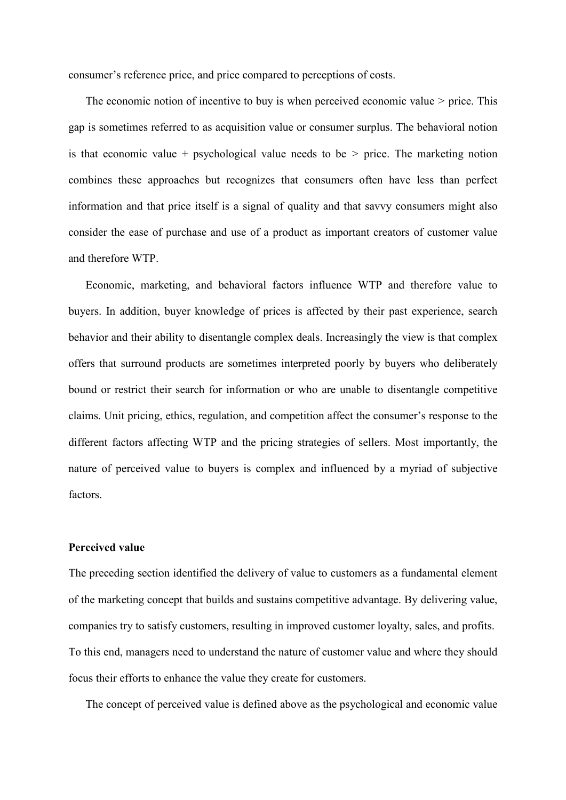consumer's reference price, and price compared to perceptions of costs.

The economic notion of incentive to buy is when perceived economic value  $>$  price. This gap is sometimes referred to as acquisition value or consumer surplus. The behavioral notion is that economic value + psychological value needs to be  $>$  price. The marketing notion combines these approaches but recognizes that consumers often have less than perfect information and that price itself is a signal of quality and that savvy consumers might also consider the ease of purchase and use of a product as important creators of customer value and therefore WTP.

Economic, marketing, and behavioral factors influence WTP and therefore value to buyers. In addition, buyer knowledge of prices is affected by their past experience, search behavior and their ability to disentangle complex deals. Increasingly the view is that complex offers that surround products are sometimes interpreted poorly by buyers who deliberately bound or restrict their search for information or who are unable to disentangle competitive claims. Unit pricing, ethics, regulation, and competition affect the consumer's response to the different factors affecting WTP and the pricing strategies of sellers. Most importantly, the nature of perceived value to buyers is complex and influenced by a myriad of subjective factors.

#### **Perceived value**

The preceding section identified the delivery of value to customers as a fundamental element of the marketing concept that builds and sustains competitive advantage. By delivering value, companies try to satisfy customers, resulting in improved customer loyalty, sales, and profits. To this end, managers need to understand the nature of customer value and where they should focus their efforts to enhance the value they create for customers.

The concept of perceived value is defined above as the psychological and economic value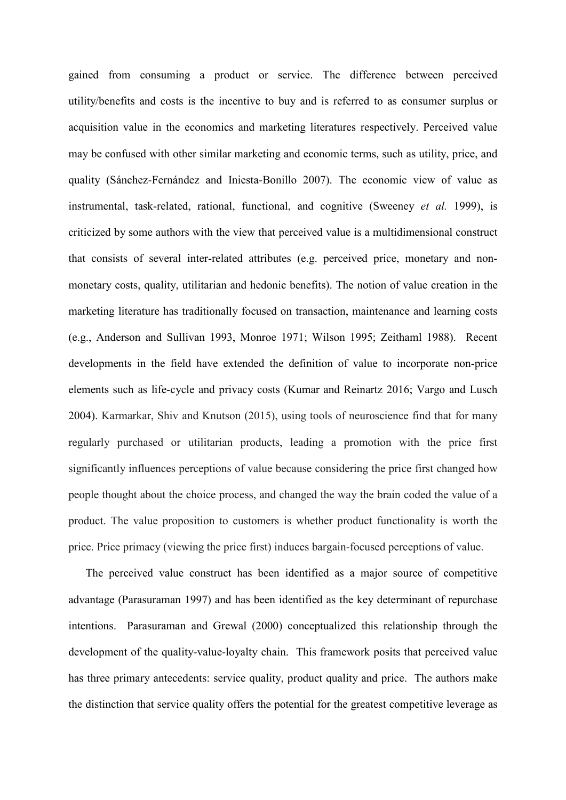gained from consuming a product or service. The difference between perceived utility/benefits and costs is the incentive to buy and is referred to as consumer surplus or acquisition value in the economics and marketing literatures respectively. Perceived value may be confused with other similar marketing and economic terms, such as utility, price, and quality (Sánchez-Fernández and Iniesta-Bonillo 2007). The economic view of value as instrumental, task-related, rational, functional, and cognitive (Sweeney et al. 1999), is criticized by some authors with the view that perceived value is a multidimensional construct that consists of several inter-related attributes (e.g. perceived price, monetary and nonmonetary costs, quality, utilitarian and hedonic benefits). The notion of value creation in the marketing literature has traditionally focused on transaction, maintenance and learning costs (e.g., Anderson and Sullivan 1993, Monroe 1971; Wilson 1995; Zeithaml 1988). Recent developments in the field have extended the definition of value to incorporate non-price elements such as life-cycle and privacy costs (Kumar and Reinartz 2016; Vargo and Lusch 2004). Karmarkar, Shiv and Knutson (2015), using tools of neuroscience find that for many regularly purchased or utilitarian products, leading a promotion with the price first significantly influences perceptions of value because considering the price first changed how people thought about the choice process, and changed the way the brain coded the value of a product. The value proposition to customers is whether product functionality is worth the price. Price primacy (viewing the price first) induces bargain-focused perceptions of value.

The perceived value construct has been identified as a major source of competitive advantage (Parasuraman 1997) and has been identified as the key determinant of repurchase intentions. Parasuraman and Grewal (2000) conceptualized this relationship through the development of the quality-value-loyalty chain. This framework posits that perceived value has three primary antecedents: service quality, product quality and price. The authors make the distinction that service quality offers the potential for the greatest competitive leverage as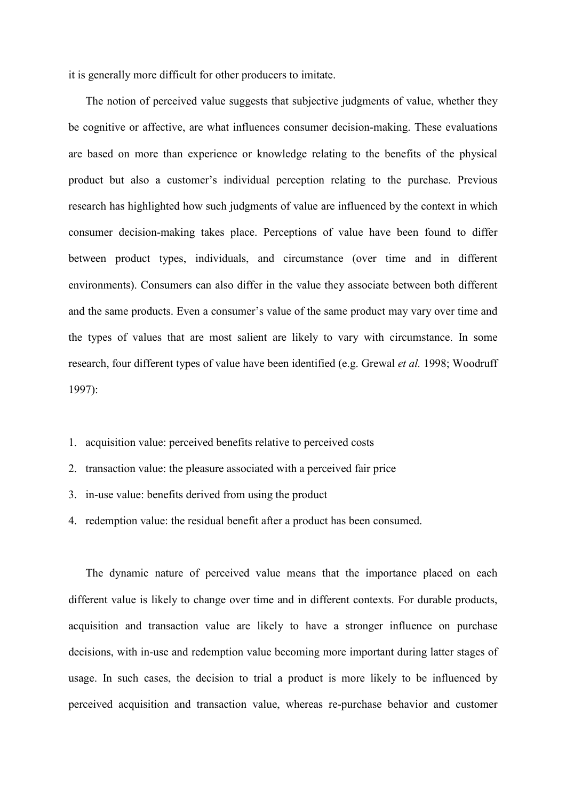it is generally more difficult for other producers to imitate.

The notion of perceived value suggests that subjective judgments of value, whether they be cognitive or affective, are what influences consumer decision-making. These evaluations are based on more than experience or knowledge relating to the benefits of the physical product but also a customer's individual perception relating to the purchase. Previous research has highlighted how such judgments of value are influenced by the context in which consumer decision-making takes place. Perceptions of value have been found to differ between product types, individuals, and circumstance (over time and in different environments). Consumers can also differ in the value they associate between both different and the same products. Even a consumer's value of the same product may vary over time and the types of values that are most salient are likely to vary with circumstance. In some research, four different types of value have been identified (e.g. Grewal et al. 1998; Woodruff  $1997$ :

- 1. acquisition value: perceived benefits relative to perceived costs
- 2. transaction value: the pleasure associated with a perceived fair price
- 3. in-use value: benefits derived from using the product
- 4. redemption value: the residual benefit after a product has been consumed.

The dynamic nature of perceived value means that the importance placed on each different value is likely to change over time and in different contexts. For durable products, acquisition and transaction value are likely to have a stronger influence on purchase decisions, with in-use and redemption value becoming more important during latter stages of usage. In such cases, the decision to trial a product is more likely to be influenced by perceived acquisition and transaction value, whereas re-purchase behavior and customer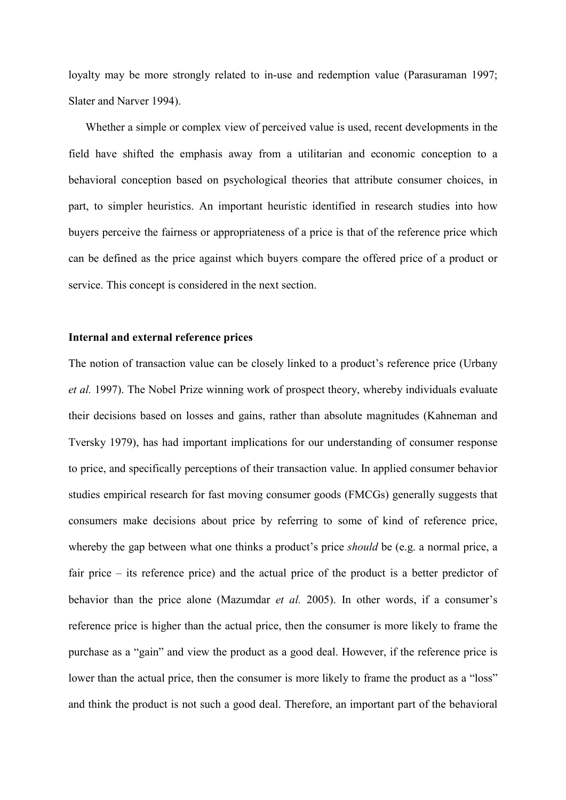loyalty may be more strongly related to in-use and redemption value (Parasuraman 1997; Slater and Narver 1994).

Whether a simple or complex view of perceived value is used, recent developments in the field have shifted the emphasis away from a utilitarian and economic conception to a behavioral conception based on psychological theories that attribute consumer choices, in part, to simpler heuristics. An important heuristic identified in research studies into how buyers perceive the fairness or appropriateness of a price is that of the reference price which can be defined as the price against which buyers compare the offered price of a product or service. This concept is considered in the next section.

#### Internal and external reference prices

The notion of transaction value can be closely linked to a product's reference price (Urbany et al. 1997). The Nobel Prize winning work of prospect theory, whereby individuals evaluate their decisions based on losses and gains, rather than absolute magnitudes (Kahneman and Tversky 1979), has had important implications for our understanding of consumer response to price, and specifically perceptions of their transaction value. In applied consumer behavior studies empirical research for fast moving consumer goods (FMCGs) generally suggests that consumers make decisions about price by referring to some of kind of reference price, whereby the gap between what one thinks a product's price *should* be (e.g. a normal price, a fair price – its reference price) and the actual price of the product is a better predictor of behavior than the price alone (Mazumdar *et al.* 2005). In other words, if a consumer's reference price is higher than the actual price, then the consumer is more likely to frame the purchase as a "gain" and view the product as a good deal. However, if the reference price is lower than the actual price, then the consumer is more likely to frame the product as a "loss" and think the product is not such a good deal. Therefore, an important part of the behavioral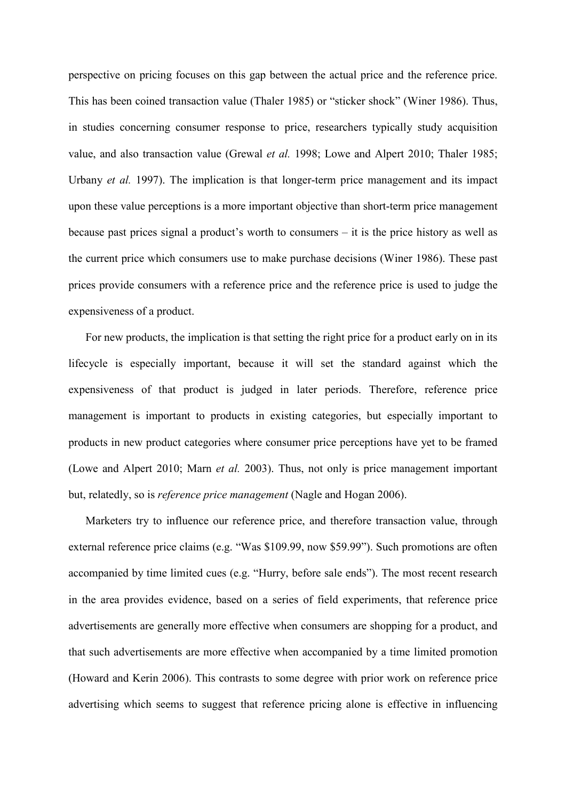perspective on pricing focuses on this gap between the actual price and the reference price. This has been coined transaction value (Thaler 1985) or "sticker shock" (Winer 1986). Thus, in studies concerning consumer response to price, researchers typically study acquisition value, and also transaction value (Grewal et al. 1998; Lowe and Alpert 2010; Thaler 1985; Urbany et al. 1997). The implication is that longer-term price management and its impact upon these value perceptions is a more important objective than short-term price management because past prices signal a product's worth to consumers  $-$  it is the price history as well as the current price which consumers use to make purchase decisions (Winer 1986). These past prices provide consumers with a reference price and the reference price is used to judge the expensiveness of a product.

For new products, the implication is that setting the right price for a product early on in its lifecycle is especially important, because it will set the standard against which the expensiveness of that product is judged in later periods. Therefore, reference price management is important to products in existing categories, but especially important to products in new product categories where consumer price perceptions have yet to be framed (Lowe and Alpert 2010; Marn *et al.* 2003). Thus, not only is price management important but, relatedly, so is *reference price management* (Nagle and Hogan 2006).

Marketers try to influence our reference price, and therefore transaction value, through external reference price claims (e.g. "Was \$109.99, now \$59.99"). Such promotions are often accompanied by time limited cues (e.g. "Hurry, before sale ends"). The most recent research in the area provides evidence, based on a series of field experiments, that reference price advertisements are generally more effective when consumers are shopping for a product, and that such advertisements are more effective when accompanied by a time limited promotion (Howard and Kerin 2006). This contrasts to some degree with prior work on reference price advertising which seems to suggest that reference pricing alone is effective in influencing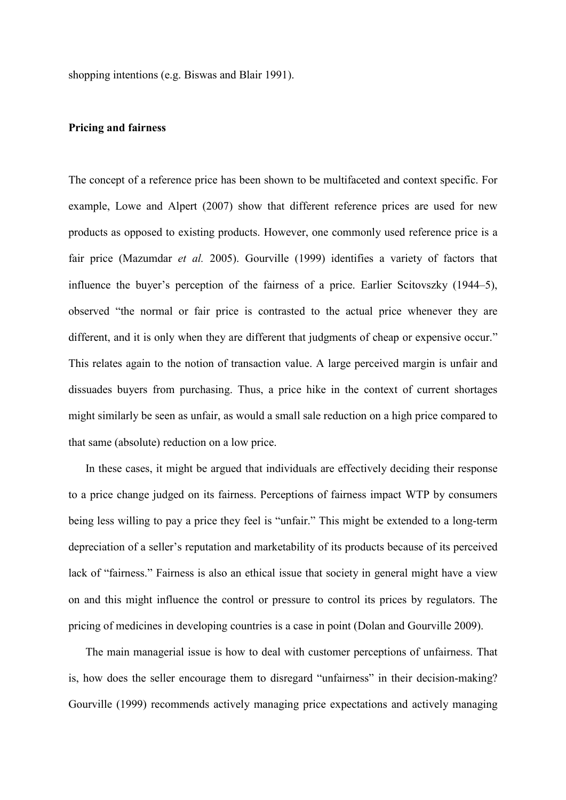shopping intentions (e.g. Biswas and Blair 1991).

#### **Pricing and fairness**

The concept of a reference price has been shown to be multifaceted and context specific. For example, Lowe and Alpert (2007) show that different reference prices are used for new products as opposed to existing products. However, one commonly used reference price is a fair price (Mazumdar et al. 2005). Gourville (1999) identifies a variety of factors that influence the buyer's perception of the fairness of a price. Earlier Scitovszky (1944–5), observed "the normal or fair price is contrasted to the actual price whenever they are different, and it is only when they are different that judgments of cheap or expensive occur." This relates again to the notion of transaction value. A large perceived margin is unfair and dissuades buyers from purchasing. Thus, a price hike in the context of current shortages might similarly be seen as unfair, as would a small sale reduction on a high price compared to that same (absolute) reduction on a low price.

In these cases, it might be argued that individuals are effectively deciding their response to a price change judged on its fairness. Perceptions of fairness impact WTP by consumers being less willing to pay a price they feel is "unfair." This might be extended to a long-term depreciation of a seller's reputation and marketability of its products because of its perceived lack of "fairness." Fairness is also an ethical issue that society in general might have a view on and this might influence the control or pressure to control its prices by regulators. The pricing of medicines in developing countries is a case in point (Dolan and Gourville 2009).

The main managerial issue is how to deal with customer perceptions of unfairness. That is, how does the seller encourage them to disregard "unfairness" in their decision-making? Gourville (1999) recommends actively managing price expectations and actively managing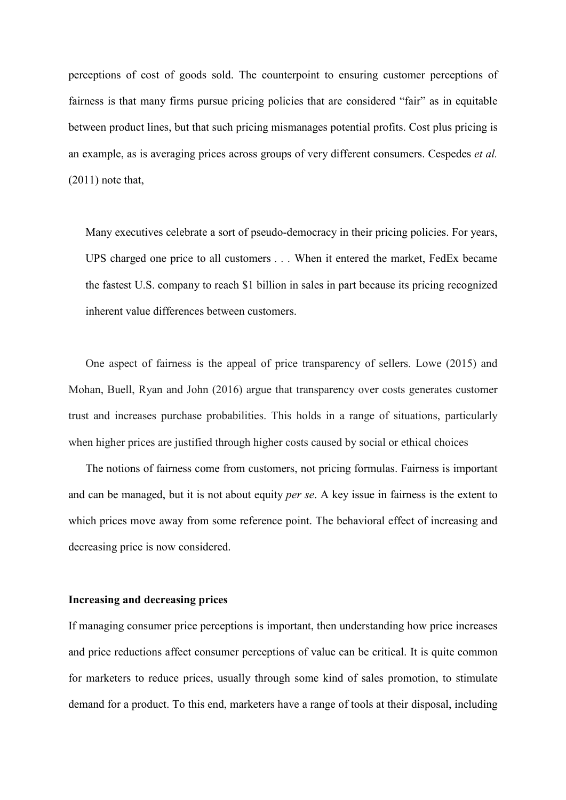perceptions of cost of goods sold. The counterpoint to ensuring customer perceptions of fairness is that many firms pursue pricing policies that are considered "fair" as in equitable between product lines, but that such pricing mismanages potential profits. Cost plus pricing is an example, as is averaging prices across groups of very different consumers. Cespedes *et al.*  $(2011)$  note that,

Many executives celebrate a sort of pseudo-democracy in their pricing policies. For years, UPS charged one price to all customers . . . When it entered the market, FedEx became the fastest U.S. company to reach \$1 billion in sales in part because its pricing recognized inherent value differences between customers.

One aspect of fairness is the appeal of price transparency of sellers. Lowe (2015) and Mohan, Buell, Ryan and John (2016) argue that transparency over costs generates customer trust and increases purchase probabilities. This holds in a range of situations, particularly when higher prices are justified through higher costs caused by social or ethical choices

The notions of fairness come from customers, not pricing formulas. Fairness is important and can be managed, but it is not about equity *per se*. A key issue in fairness is the extent to which prices move away from some reference point. The behavioral effect of increasing and decreasing price is now considered.

#### Increasing and decreasing prices

If managing consumer price perceptions is important, then understanding how price increases and price reductions affect consumer perceptions of value can be critical. It is quite common for marketers to reduce prices, usually through some kind of sales promotion, to stimulate demand for a product. To this end, marketers have a range of tools at their disposal, including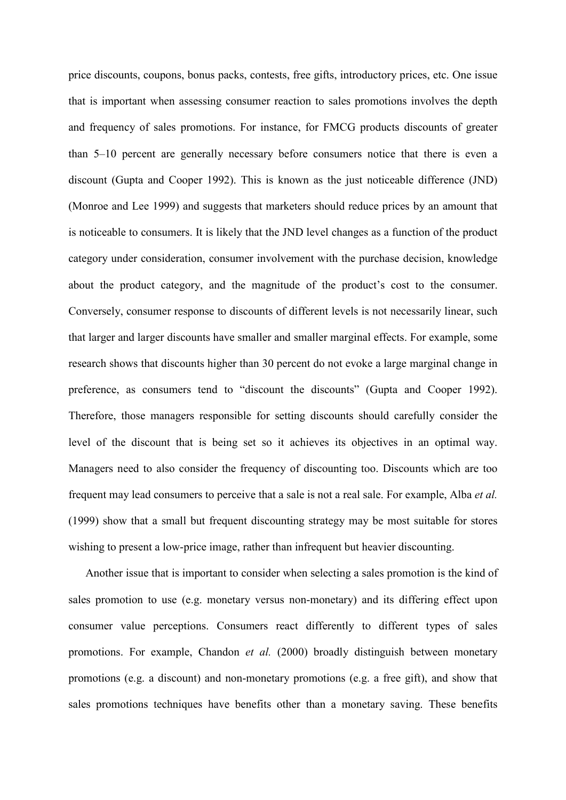price discounts, coupons, bonus packs, contests, free gifts, introductory prices, etc. One issue that is important when assessing consumer reaction to sales promotions involves the depth and frequency of sales promotions. For instance, for FMCG products discounts of greater than 5–10 percent are generally necessary before consumers notice that there is even a discount (Gupta and Cooper 1992). This is known as the just noticeable difference (JND) (Monroe and Lee 1999) and suggests that marketers should reduce prices by an amount that is noticeable to consumers. It is likely that the JND level changes as a function of the product category under consideration, consumer involvement with the purchase decision, knowledge about the product category, and the magnitude of the product's cost to the consumer. Conversely, consumer response to discounts of different levels is not necessarily linear, such that larger and larger discounts have smaller and smaller marginal effects. For example, some research shows that discounts higher than 30 percent do not evoke a large marginal change in preference, as consumers tend to "discount the discounts" (Gupta and Cooper 1992). Therefore, those managers responsible for setting discounts should carefully consider the level of the discount that is being set so it achieves its objectives in an optimal way. Managers need to also consider the frequency of discounting too. Discounts which are too frequent may lead consumers to perceive that a sale is not a real sale. For example, Alba et al. (1999) show that a small but frequent discounting strategy may be most suitable for stores wishing to present a low-price image, rather than infrequent but heavier discounting.

Another issue that is important to consider when selecting a sales promotion is the kind of sales promotion to use (e.g. monetary versus non-monetary) and its differing effect upon consumer value perceptions. Consumers react differently to different types of sales promotions. For example, Chandon et al. (2000) broadly distinguish between monetary promotions (e.g. a discount) and non-monetary promotions (e.g. a free gift), and show that sales promotions techniques have benefits other than a monetary saving. These benefits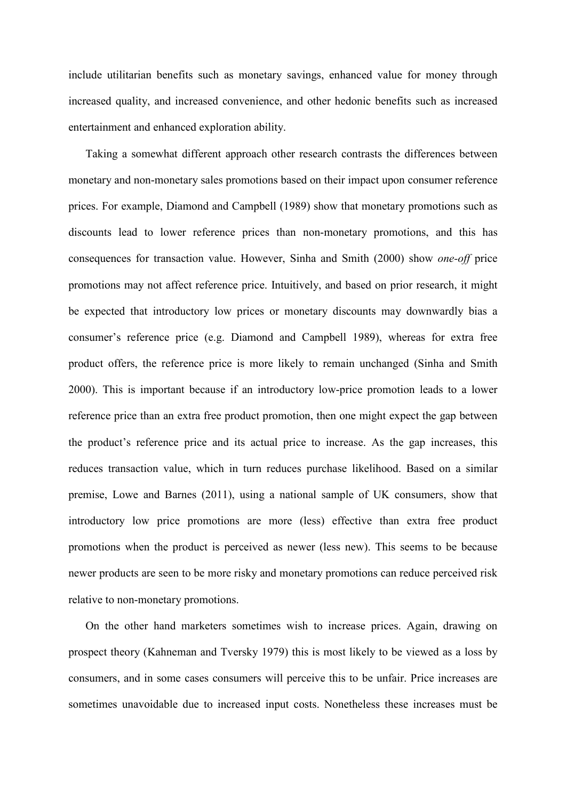include utilitarian benefits such as monetary savings, enhanced value for money through increased quality, and increased convenience, and other hedonic benefits such as increased entertainment and enhanced exploration ability.

Taking a somewhat different approach other research contrasts the differences between monetary and non-monetary sales promotions based on their impact upon consumer reference prices. For example, Diamond and Campbell (1989) show that monetary promotions such as discounts lead to lower reference prices than non-monetary promotions, and this has consequences for transaction value. However, Sinha and Smith (2000) show one-off price promotions may not affect reference price. Intuitively, and based on prior research, it might be expected that introductory low prices or monetary discounts may downwardly bias a consumer's reference price (e.g. Diamond and Campbell 1989), whereas for extra free product offers, the reference price is more likely to remain unchanged (Sinha and Smith 2000). This is important because if an introductory low-price promotion leads to a lower reference price than an extra free product promotion, then one might expect the gap between the product's reference price and its actual price to increase. As the gap increases, this reduces transaction value, which in turn reduces purchase likelihood. Based on a similar premise, Lowe and Barnes (2011), using a national sample of UK consumers, show that introductory low price promotions are more (less) effective than extra free product promotions when the product is perceived as newer (less new). This seems to be because newer products are seen to be more risky and monetary promotions can reduce perceived risk relative to non-monetary promotions.

On the other hand marketers sometimes wish to increase prices. Again, drawing on prospect theory (Kahneman and Tversky 1979) this is most likely to be viewed as a loss by consumers, and in some cases consumers will perceive this to be unfair. Price increases are sometimes unavoidable due to increased input costs. Nonetheless these increases must be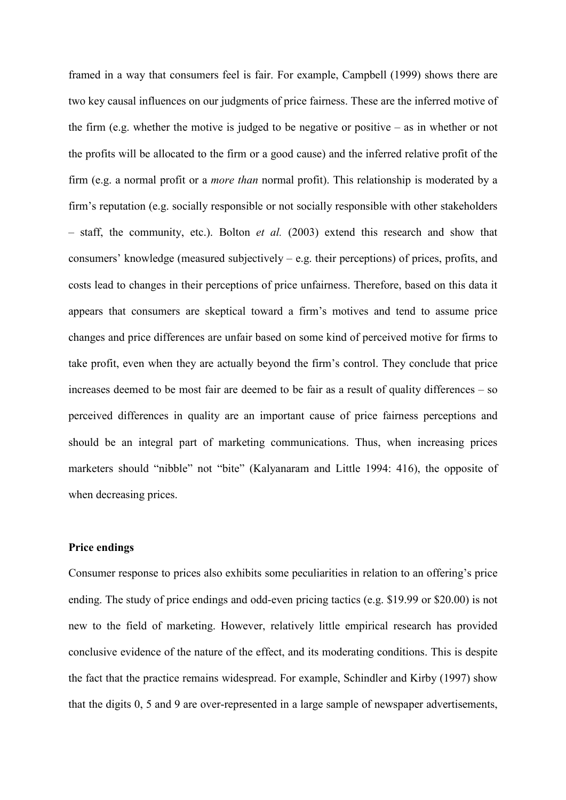framed in a way that consumers feel is fair. For example, Campbell (1999) shows there are two key causal influences on our judgments of price fairness. These are the inferred motive of the firm (e.g. whether the motive is judged to be negative or positive  $-$  as in whether or not the profits will be allocated to the firm or a good cause) and the inferred relative profit of the firm (e.g. a normal profit or a *more than* normal profit). This relationship is moderated by a firm's reputation (e.g. socially responsible or not socially responsible with other stakeholders  $-$  staff, the community, etc.). Bolton *et al.* (2003) extend this research and show that consumers' knowledge (measured subjectively  $-$  e.g. their perceptions) of prices, profits, and costs lead to changes in their perceptions of price unfairness. Therefore, based on this data it appears that consumers are skeptical toward a firm's motives and tend to assume price changes and price differences are unfair based on some kind of perceived motive for firms to take profit, even when they are actually beyond the firm's control. They conclude that price increases deemed to be most fair are deemed to be fair as a result of quality differences – so perceived differences in quality are an important cause of price fairness perceptions and should be an integral part of marketing communications. Thus, when increasing prices marketers should "nibble" not "bite" (Kalyanaram and Little 1994: 416), the opposite of when decreasing prices.

#### **Price endings**

Consumer response to prices also exhibits some peculiarities in relation to an offering's price ending. The study of price endings and odd-even pricing tactics (e.g. \$19.99 or \$20.00) is not new to the field of marketing. However, relatively little empirical research has provided conclusive evidence of the nature of the effect, and its moderating conditions. This is despite the fact that the practice remains widespread. For example, Schindler and Kirby (1997) show that the digits 0, 5 and 9 are over-represented in a large sample of newspaper advertisements,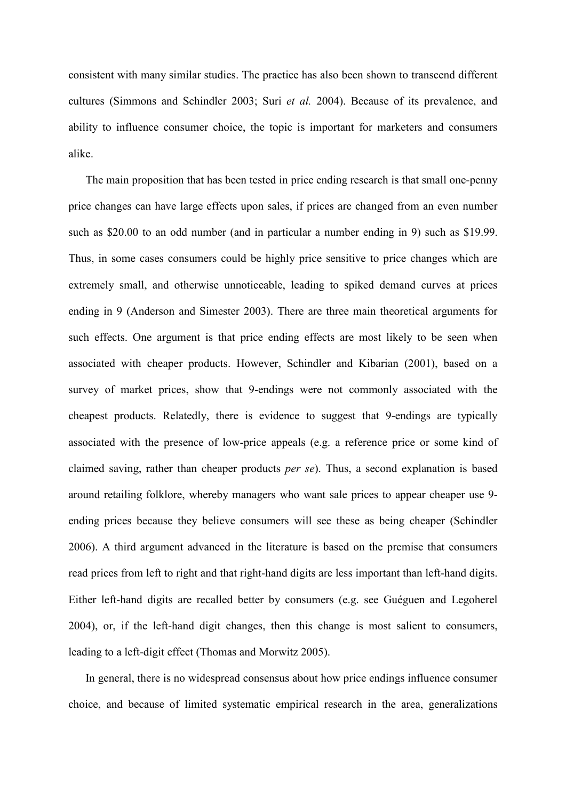consistent with many similar studies. The practice has also been shown to transcend different cultures (Simmons and Schindler 2003; Suri et al. 2004). Because of its prevalence, and ability to influence consumer choice, the topic is important for marketers and consumers alike.

The main proposition that has been tested in price ending research is that small one-penny price changes can have large effects upon sales, if prices are changed from an even number such as \$20.00 to an odd number (and in particular a number ending in 9) such as \$19.99. Thus, in some cases consumers could be highly price sensitive to price changes which are extremely small, and otherwise unnoticeable, leading to spiked demand curves at prices ending in 9 (Anderson and Simester 2003). There are three main theoretical arguments for such effects. One argument is that price ending effects are most likely to be seen when associated with cheaper products. However, Schindler and Kibarian (2001), based on a survey of market prices, show that 9-endings were not commonly associated with the cheapest products. Relatedly, there is evidence to suggest that 9-endings are typically associated with the presence of low-price appeals (e.g. a reference price or some kind of claimed saving, rather than cheaper products *per se*). Thus, a second explanation is based around retailing folklore, whereby managers who want sale prices to appear cheaper use 9ending prices because they believe consumers will see these as being cheaper (Schindler 2006). A third argument advanced in the literature is based on the premise that consumers read prices from left to right and that right-hand digits are less important than left-hand digits. Either left-hand digits are recalled better by consumers (e.g. see Guéguen and Legoherel 2004), or, if the left-hand digit changes, then this change is most salient to consumers, leading to a left-digit effect (Thomas and Morwitz 2005).

In general, there is no widespread consensus about how price endings influence consumer choice, and because of limited systematic empirical research in the area, generalizations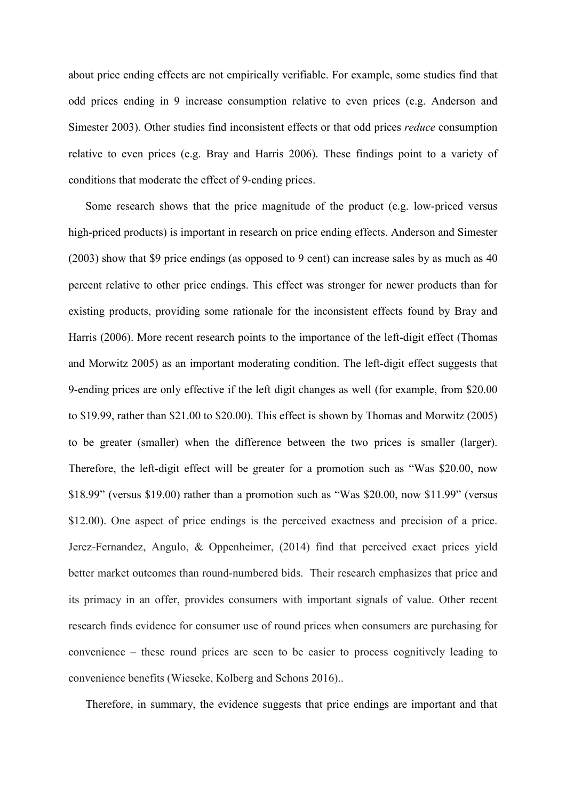about price ending effects are not empirically verifiable. For example, some studies find that odd prices ending in 9 increase consumption relative to even prices (e.g. Anderson and Simester 2003). Other studies find inconsistent effects or that odd prices *reduce* consumption relative to even prices (e.g. Bray and Harris 2006). These findings point to a variety of conditions that moderate the effect of 9-ending prices.

Some research shows that the price magnitude of the product (e.g. low-priced versus high-priced products) is important in research on price ending effects. Anderson and Simester (2003) show that \$9 price endings (as opposed to 9 cent) can increase sales by as much as 40 percent relative to other price endings. This effect was stronger for newer products than for existing products, providing some rationale for the inconsistent effects found by Bray and Harris (2006). More recent research points to the importance of the left-digit effect (Thomas and Morwitz 2005) as an important moderating condition. The left-digit effect suggests that 9-ending prices are only effective if the left digit changes as well (for example, from \$20.00) to \$19.99, rather than \$21.00 to \$20.00). This effect is shown by Thomas and Morwitz  $(2005)$ to be greater (smaller) when the difference between the two prices is smaller (larger). Therefore, the left-digit effect will be greater for a promotion such as "Was \$20.00, now \$18.99" (versus \$19.00) rather than a promotion such as "Was \$20.00, now \$11.99" (versus \$12.00). One aspect of price endings is the perceived exactness and precision of a price. Jerez-Fernandez, Angulo, & Oppenheimer, (2014) find that perceived exact prices yield better market outcomes than round-numbered bids. Their research emphasizes that price and its primacy in an offer, provides consumers with important signals of value. Other recent research finds evidence for consumer use of round prices when consumers are purchasing for convenience – these round prices are seen to be easier to process cognitively leading to convenience benefits (Wieseke, Kolberg and Schons 2016)...

Therefore, in summary, the evidence suggests that price endings are important and that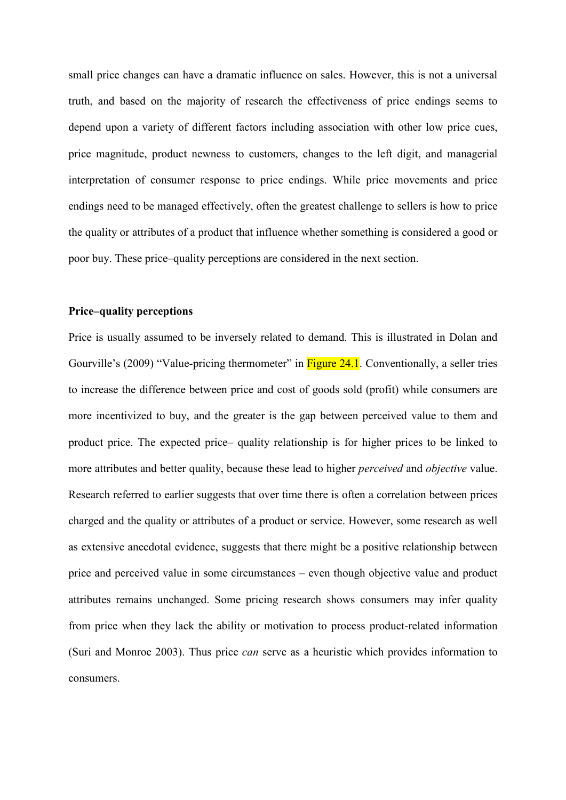small price changes can have a dramatic influence on sales. However, this is not a universal truth, and based on the majority of research the effectiveness of price endings seems to depend upon a variety of different factors including association with other low price cues, price magnitude, product newness to customers, changes to the left digit, and managerial interpretation of consumer response to price endings. While price movements and price endings need to be managed effectively, often the greatest challenge to sellers is how to price the quality or attributes of a product that influence whether something is considered a good or poor buy. These price-quality perceptions are considered in the next section.

#### **Price-quality perceptions**

Price is usually assumed to be inversely related to demand. This is illustrated in Dolan and Gourville's (2009) "Value-pricing thermometer" in Figure 24.1. Conventionally, a seller tries to increase the difference between price and cost of goods sold (profit) while consumers are more incentivized to buy, and the greater is the gap between perceived value to them and product price. The expected price— quality relationship is for higher prices to be linked to more attributes and better quality, because these lead to higher *perceived* and *objective* value. Research referred to earlier suggests that over time there is often a correlation between prices charged and the quality or attributes of a product or service. However, some research as well as extensive anecdotal evidence, suggests that there might be a positive relationship between price and perceived value in some circumstances – even though objective value and product attributes remains unchanged. Some pricing research shows consumers may infer quality from price when they lack the ability or motivation to process product-related information (Suri and Monroe 2003). Thus price *can* serve as a heuristic which provides information to consumers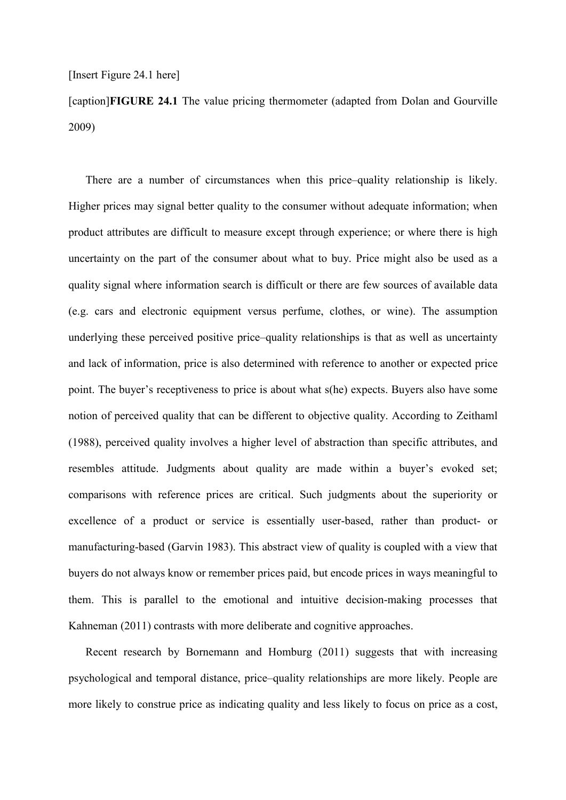[caption]**FIGURE 24.1** The value pricing thermometer (adapted from Dolan and Gourville 2009)

There are a number of circumstances when this price-quality relationship is likely. Higher prices may signal better quality to the consumer without adequate information; when product attributes are difficult to measure except through experience; or where there is high uncertainty on the part of the consumer about what to buy. Price might also be used as a quality signal where information search is difficult or there are few sources of available data (e.g. cars and electronic equipment versus perfume, clothes, or wine). The assumption underlying these perceived positive price-quality relationships is that as well as uncertainty and lack of information, price is also determined with reference to another or expected price point. The buyer's receptiveness to price is about what s(he) expects. Buyers also have some notion of perceived quality that can be different to objective quality. According to Zeithaml (1988), perceived quality involves a higher level of abstraction than specific attributes, and resembles attitude. Judgments about quality are made within a buyer's evoked set; comparisons with reference prices are critical. Such judgments about the superiority or excellence of a product or service is essentially user-based, rather than product- or manufacturing-based (Garvin 1983). This abstract view of quality is coupled with a view that buyers do not always know or remember prices paid, but encode prices in ways meaningful to them. This is parallel to the emotional and intuitive decision-making processes that Kahneman (2011) contrasts with more deliberate and cognitive approaches.

Recent research by Bornemann and Homburg (2011) suggests that with increasing psychological and temporal distance, price-quality relationships are more likely. People are more likely to construe price as indicating quality and less likely to focus on price as a cost,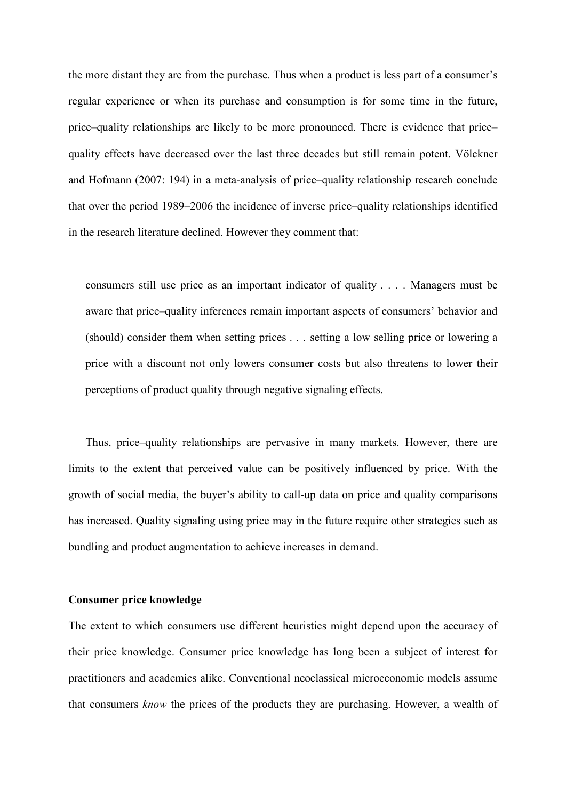the more distant they are from the purchase. Thus when a product is less part of a consumer's regular experience or when its purchase and consumption is for some time in the future, price-quality relationships are likely to be more pronounced. There is evidence that pricequality effects have decreased over the last three decades but still remain potent. Völckner and Hofmann (2007: 194) in a meta-analysis of price-quality relationship research conclude that over the period 1989–2006 the incidence of inverse price-quality relationships identified in the research literature declined. However they comment that:

consumers still use price as an important indicator of quality . . . . Managers must be aware that price-quality inferences remain important aspects of consumers' behavior and (should) consider them when setting prices . . . setting a low selling price or lowering a price with a discount not only lowers consumer costs but also threatens to lower their perceptions of product quality through negative signaling effects.

Thus, price-quality relationships are pervasive in many markets. However, there are limits to the extent that perceived value can be positively influenced by price. With the growth of social media, the buyer's ability to call-up data on price and quality comparisons has increased. Quality signaling using price may in the future require other strategies such as bundling and product augmentation to achieve increases in demand.

#### **Consumer price knowledge**

The extent to which consumers use different heuristics might depend upon the accuracy of their price knowledge. Consumer price knowledge has long been a subject of interest for practitioners and academics alike. Conventional neoclassical microeconomic models assume that consumers know the prices of the products they are purchasing. However, a wealth of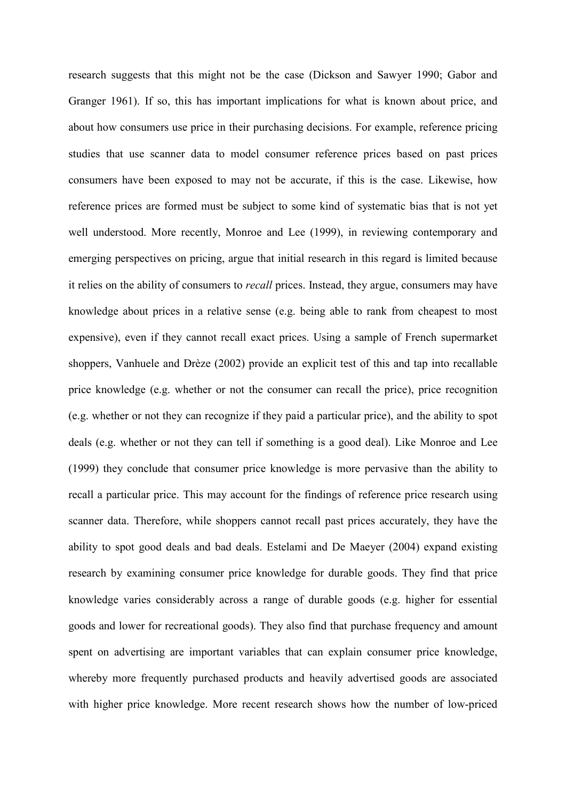research suggests that this might not be the case (Dickson and Sawyer 1990; Gabor and Granger 1961). If so, this has important implications for what is known about price, and about how consumers use price in their purchasing decisions. For example, reference pricing studies that use scanner data to model consumer reference prices based on past prices consumers have been exposed to may not be accurate, if this is the case. Likewise, how reference prices are formed must be subject to some kind of systematic bias that is not yet well understood. More recently, Monroe and Lee (1999), in reviewing contemporary and emerging perspectives on pricing, argue that initial research in this regard is limited because it relies on the ability of consumers to *recall* prices. Instead, they argue, consumers may have knowledge about prices in a relative sense (e.g. being able to rank from cheapest to most expensive), even if they cannot recall exact prices. Using a sample of French supermarket shoppers, Vanhuele and Drèze (2002) provide an explicit test of this and tap into recallable price knowledge (e.g. whether or not the consumer can recall the price), price recognition (e.g. whether or not they can recognize if they paid a particular price), and the ability to spot deals (e.g. whether or not they can tell if something is a good deal). Like Monroe and Lee (1999) they conclude that consumer price knowledge is more pervasive than the ability to recall a particular price. This may account for the findings of reference price research using scanner data. Therefore, while shoppers cannot recall past prices accurately, they have the ability to spot good deals and bad deals. Estelami and De Maeyer (2004) expand existing research by examining consumer price knowledge for durable goods. They find that price knowledge varies considerably across a range of durable goods (e.g. higher for essential goods and lower for recreational goods). They also find that purchase frequency and amount spent on advertising are important variables that can explain consumer price knowledge, whereby more frequently purchased products and heavily advertised goods are associated with higher price knowledge. More recent research shows how the number of low-priced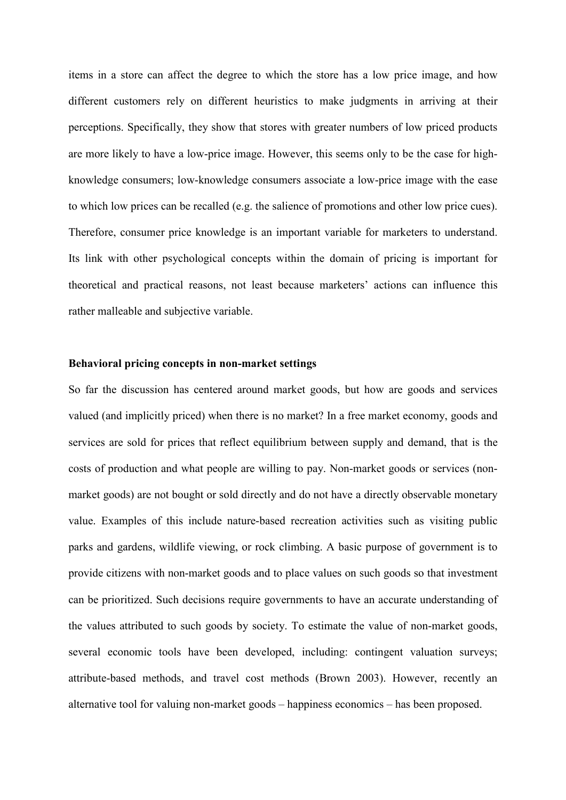items in a store can affect the degree to which the store has a low price image, and how different customers rely on different heuristics to make judgments in arriving at their perceptions. Specifically, they show that stores with greater numbers of low priced products are more likely to have a low-price image. However, this seems only to be the case for highknowledge consumers; low-knowledge consumers associate a low-price image with the ease to which low prices can be recalled (e.g. the salience of promotions and other low price cues). Therefore, consumer price knowledge is an important variable for marketers to understand. Its link with other psychological concepts within the domain of pricing is important for theoretical and practical reasons, not least because marketers' actions can influence this rather malleable and subjective variable.

#### Behavioral pricing concepts in non-market settings

So far the discussion has centered around market goods, but how are goods and services valued (and implicitly priced) when there is no market? In a free market economy, goods and services are sold for prices that reflect equilibrium between supply and demand, that is the costs of production and what people are willing to pay. Non-market goods or services (nonmarket goods) are not bought or sold directly and do not have a directly observable monetary value. Examples of this include nature-based recreation activities such as visiting public parks and gardens, wildlife viewing, or rock climbing. A basic purpose of government is to provide citizens with non-market goods and to place values on such goods so that investment can be prioritized. Such decisions require governments to have an accurate understanding of the values attributed to such goods by society. To estimate the value of non-market goods, several economic tools have been developed, including: contingent valuation surveys; attribute-based methods, and travel cost methods (Brown 2003). However, recently an alternative tool for valuing non-market goods – happiness economics – has been proposed.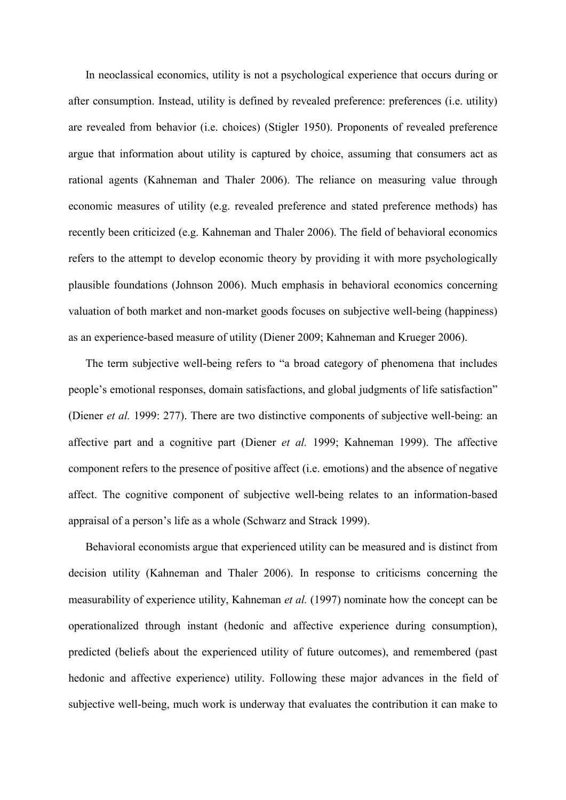In neoclassical economics, utility is not a psychological experience that occurs during or after consumption. Instead, utility is defined by revealed preference: preferences (i.e. utility) are revealed from behavior (*i.e.* choices) (Stigler 1950). Proponents of revealed preference argue that information about utility is captured by choice, assuming that consumers act as rational agents (Kahneman and Thaler 2006). The reliance on measuring value through economic measures of utility (e.g. revealed preference and stated preference methods) has recently been criticized (e.g. Kahneman and Thaler 2006). The field of behavioral economics refers to the attempt to develop economic theory by providing it with more psychologically plausible foundations (Johnson 2006). Much emphasis in behavioral economics concerning valuation of both market and non-market goods focuses on subjective well-being (happiness) as an experience-based measure of utility (Diener 2009; Kahneman and Krueger 2006).

The term subjective well-being refers to "a broad category of phenomena that includes people's emotional responses, domain satisfactions, and global judgments of life satisfaction" (Diener *et al.* 1999: 277). There are two distinctive components of subjective well-being: an affective part and a cognitive part (Diener et al. 1999; Kahneman 1999). The affective component refers to the presence of positive affect (*i.e.* emotions) and the absence of negative affect. The cognitive component of subjective well-being relates to an information-based appraisal of a person's life as a whole (Schwarz and Strack 1999).

Behavioral economists argue that experienced utility can be measured and is distinct from decision utility (Kahneman and Thaler 2006). In response to criticisms concerning the measurability of experience utility, Kahneman *et al.* (1997) nominate how the concept can be operationalized through instant (hedonic and affective experience during consumption), predicted (beliefs about the experienced utility of future outcomes), and remembered (past hedonic and affective experience) utility. Following these major advances in the field of subjective well-being, much work is underway that evaluates the contribution it can make to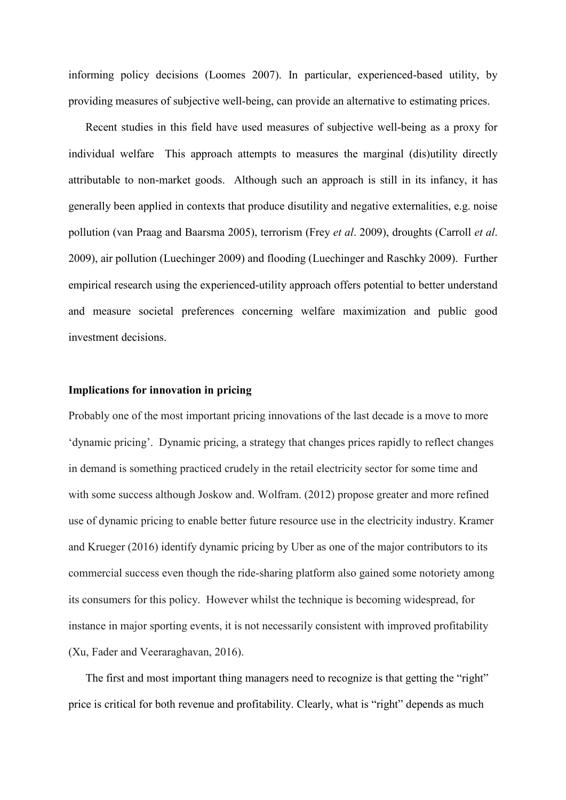informing policy decisions (Loomes 2007). In particular, experienced-based utility, by providing measures of subjective well-being, can provide an alternative to estimating prices.

Recent studies in this field have used measures of subjective well-being as a proxy for individual welfare This approach attempts to measures the marginal (dis)utility directly attributable to non-market goods. Although such an approach is still in its infancy, it has generally been applied in contexts that produce disutility and negative externalities, e.g. noise pollution (van Praag and Baarsma 2005), terrorism (Frey et al. 2009), droughts (Carroll et al. 2009), air pollution (Luechinger 2009) and flooding (Luechinger and Raschky 2009). Further empirical research using the experienced-utility approach offers potential to better understand and measure societal preferences concerning welfare maximization and public good investment decisions.

#### Implications for innovation in pricing

Probably one of the most important pricing innovations of the last decade is a move to more 'dynamic pricing'. Dynamic pricing, a strategy that changes prices rapidly to reflect changes in demand is something practiced crudely in the retail electricity sector for some time and with some success although Joskow and. Wolfram. (2012) propose greater and more refined use of dynamic pricing to enable better future resource use in the electricity industry. Kramer and Krueger (2016) identify dynamic pricing by Uber as one of the major contributors to its commercial success even though the ride-sharing platform also gained some notoriety among its consumers for this policy. However whilst the technique is becoming widespread, for instance in major sporting events, it is not necessarily consistent with improved profitability (Xu, Fader and Veeraraghavan, 2016).

The first and most important thing managers need to recognize is that getting the "right" price is critical for both revenue and profitability. Clearly, what is "right" depends as much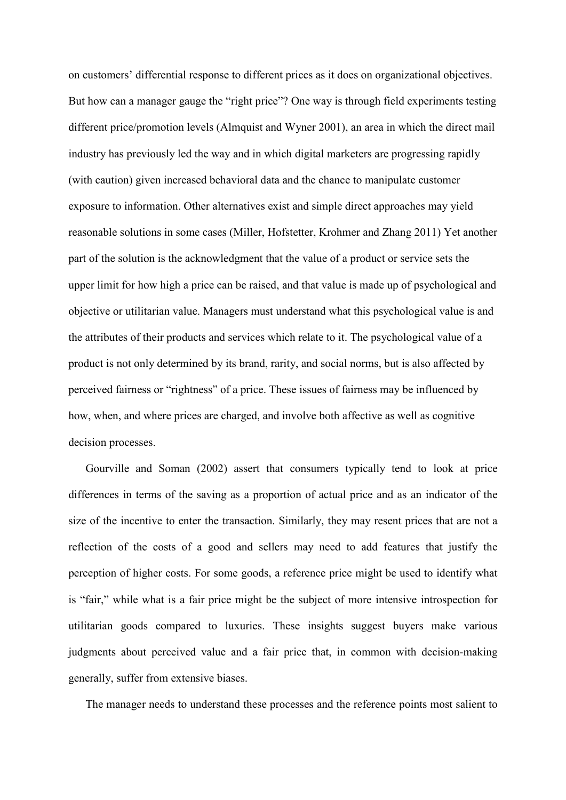on customers' differential response to different prices as it does on organizational objectives. But how can a manager gauge the "right price"? One way is through field experiments testing different price/promotion levels (Almquist and Wyner 2001), an area in which the direct mail industry has previously led the way and in which digital marketers are progressing rapidly (with caution) given increased behavioral data and the chance to manipulate customer exposure to information. Other alternatives exist and simple direct approaches may yield reasonable solutions in some cases (Miller, Hofstetter, Krohmer and Zhang 2011) Yet another part of the solution is the acknowledgment that the value of a product or service sets the upper limit for how high a price can be raised, and that value is made up of psychological and objective or utilitarian value. Managers must understand what this psychological value is and the attributes of their products and services which relate to it. The psychological value of a product is not only determined by its brand, rarity, and social norms, but is also affected by perceived fairness or "rightness" of a price. These issues of fairness may be influenced by how, when, and where prices are charged, and involve both affective as well as cognitive decision processes.

Gourville and Soman (2002) assert that consumers typically tend to look at price differences in terms of the saving as a proportion of actual price and as an indicator of the size of the incentive to enter the transaction. Similarly, they may resent prices that are not a reflection of the costs of a good and sellers may need to add features that justify the perception of higher costs. For some goods, a reference price might be used to identify what is "fair," while what is a fair price might be the subject of more intensive introspection for utilitarian goods compared to luxuries. These insights suggest buyers make various judgments about perceived value and a fair price that, in common with decision-making generally, suffer from extensive biases.

The manager needs to understand these processes and the reference points most salient to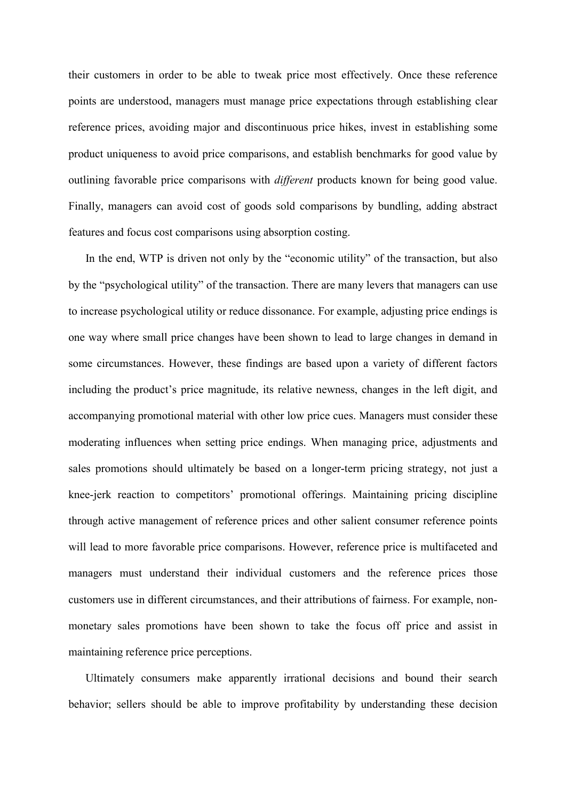their customers in order to be able to tweak price most effectively. Once these reference points are understood, managers must manage price expectations through establishing clear reference prices, avoiding major and discontinuous price hikes, invest in establishing some product uniqueness to avoid price comparisons, and establish benchmarks for good value by outlining favorable price comparisons with *different* products known for being good value. Finally, managers can avoid cost of goods sold comparisons by bundling, adding abstract features and focus cost comparisons using absorption costing.

In the end, WTP is driven not only by the "economic utility" of the transaction, but also by the "psychological utility" of the transaction. There are many levers that managers can use to increase psychological utility or reduce dissonance. For example, adjusting price endings is one way where small price changes have been shown to lead to large changes in demand in some circumstances. However, these findings are based upon a variety of different factors including the product's price magnitude, its relative newness, changes in the left digit, and accompanying promotional material with other low price cues. Managers must consider these moderating influences when setting price endings. When managing price, adjustments and sales promotions should ultimately be based on a longer-term pricing strategy, not just a knee-jerk reaction to competitors' promotional offerings. Maintaining pricing discipline through active management of reference prices and other salient consumer reference points will lead to more favorable price comparisons. However, reference price is multifaceted and managers must understand their individual customers and the reference prices those customers use in different circumstances, and their attributions of fairness. For example, nonmonetary sales promotions have been shown to take the focus off price and assist in maintaining reference price perceptions.

Ultimately consumers make apparently irrational decisions and bound their search behavior; sellers should be able to improve profitability by understanding these decision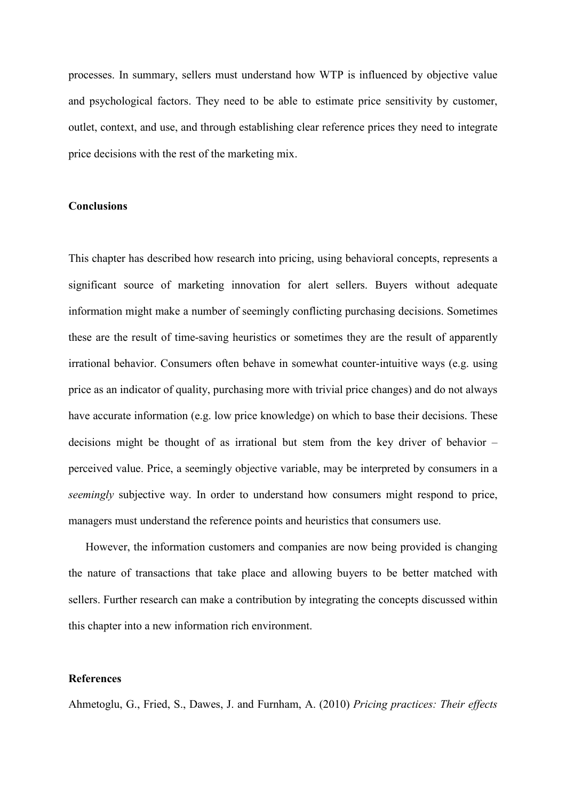processes. In summary, sellers must understand how WTP is influenced by objective value and psychological factors. They need to be able to estimate price sensitivity by customer, outlet, context, and use, and through establishing clear reference prices they need to integrate price decisions with the rest of the marketing mix.

#### **Conclusions**

This chapter has described how research into pricing, using behavioral concepts, represents a significant source of marketing innovation for alert sellers. Buyers without adequate information might make a number of seemingly conflicting purchasing decisions. Sometimes these are the result of time-saving heuristics or sometimes they are the result of apparently irrational behavior. Consumers often behave in somewhat counter-intuitive ways (e.g. using price as an indicator of quality, purchasing more with trivial price changes) and do not always have accurate information (e.g. low price knowledge) on which to base their decisions. These decisions might be thought of as irrational but stem from the key driver of behavior  $$ perceived value. Price, a seemingly objective variable, may be interpreted by consumers in a *seemingly* subjective way. In order to understand how consumers might respond to price, managers must understand the reference points and heuristics that consumers use.

However, the information customers and companies are now being provided is changing the nature of transactions that take place and allowing buyers to be better matched with sellers. Further research can make a contribution by integrating the concepts discussed within this chapter into a new information rich environment.

#### **References**

Ahmetoglu, G., Fried, S., Dawes, J. and Furnham, A. (2010) Pricing practices: Their effects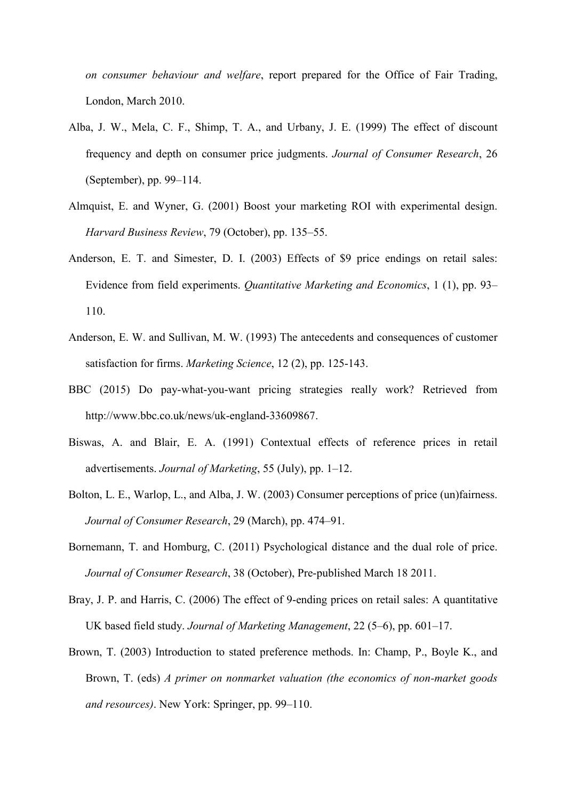on consumer behaviour and welfare, report prepared for the Office of Fair Trading, London, March 2010.

- Alba, J. W., Mela, C. F., Shimp, T. A., and Urbany, J. E. (1999) The effect of discount frequency and depth on consumer price judgments. Journal of Consumer Research, 26 (September), pp. 99–114.
- Almquist, E. and Wyner, G. (2001) Boost your marketing ROI with experimental design. Harvard Business Review, 79 (October), pp. 135-55.
- Anderson, E. T. and Simester, D. I. (2003) Effects of \$9 price endings on retail sales: Evidence from field experiments. *Quantitative Marketing and Economics*, 1 (1), pp. 93– 110.
- Anderson, E. W. and Sullivan, M. W. (1993) The antecedents and consequences of customer satisfaction for firms. Marketing Science, 12 (2), pp. 125-143.
- BBC (2015) Do pay-what-you-want pricing strategies really work? Retrieved from http://www.bbc.co.uk/news/uk-england-33609867.
- Biswas, A. and Blair, E. A. (1991) Contextual effects of reference prices in retail advertisements. Journal of Marketing, 55 (July), pp.  $1-12$ .
- Bolton, L. E., Warlop, L., and Alba, J. W. (2003) Consumer perceptions of price (un)fairness. Journal of Consumer Research, 29 (March), pp. 474–91.
- Bornemann, T. and Homburg, C. (2011) Psychological distance and the dual role of price. Journal of Consumer Research, 38 (October), Pre-published March 18 2011.
- Bray, J. P. and Harris, C. (2006) The effect of 9-ending prices on retail sales: A quantitative UK based field study. Journal of Marketing Management, 22 (5–6), pp. 601–17.
- Brown, T. (2003) Introduction to stated preference methods. In: Champ, P., Boyle K., and Brown, T. (eds) A primer on nonmarket valuation (the economics of non-market goods and resources). New York: Springer, pp. 99–110.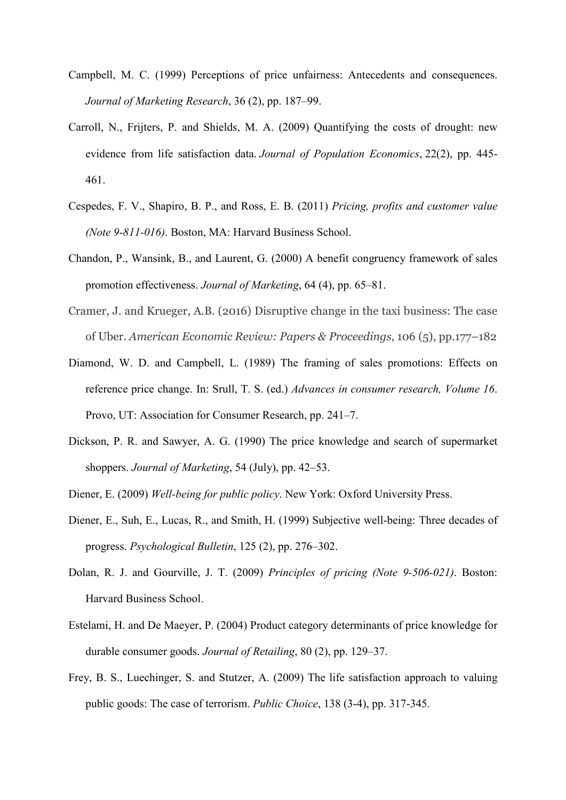- Campbell, M. C. (1999) Perceptions of price unfairness: Antecedents and consequences. Journal of Marketing Research, 36 (2), pp. 187–99.
- Carroll, N., Frijters, P. and Shields, M. A. (2009) Quantifying the costs of drought: new evidence from life satisfaction data. Journal of Population Economics, 22(2), pp. 445-461.
- Cespedes, F. V., Shapiro, B. P., and Ross, E. B. (2011) Pricing, profits and customer value (Note 9-811-016). Boston, MA: Harvard Business School.
- Chandon, P., Wansink, B., and Laurent, G. (2000) A benefit congruency framework of sales promotion effectiveness. Journal of Marketing, 64 (4), pp. 65–81.
- Cramer, J. and Krueger, A.B. (2016) Disruptive change in the taxi business: The case of Uber. American Economic Review: Papers & Proceedings, 106 (5), pp.177–182
- Diamond, W. D. and Campbell, L. (1989) The framing of sales promotions: Effects on reference price change. In: Srull, T. S. (ed.) Advances in consumer research, Volume 16. Provo, UT: Association for Consumer Research, pp. 241–7.
- Dickson, P. R. and Sawyer, A. G. (1990) The price knowledge and search of supermarket shoppers. Journal of Marketing, 54 (July), pp. 42–53.
- Diener, E. (2009) Well-being for public policy. New York: Oxford University Press.
- Diener, E., Suh, E., Lucas, R., and Smith, H. (1999) Subjective well-being: Three decades of progress. Psychological Bulletin, 125 (2), pp. 276–302.
- Dolan, R. J. and Gourville, J. T. (2009) Principles of pricing (Note 9-506-021). Boston: Harvard Business School.
- Estelami, H. and De Maeyer, P. (2004) Product category determinants of price knowledge for durable consumer goods. Journal of Retailing, 80 (2), pp. 129–37.
- Frey, B. S., Luechinger, S. and Stutzer, A. (2009) The life satisfaction approach to valuing public goods: The case of terrorism. *Public Choice*, 138 (3-4), pp. 317-345.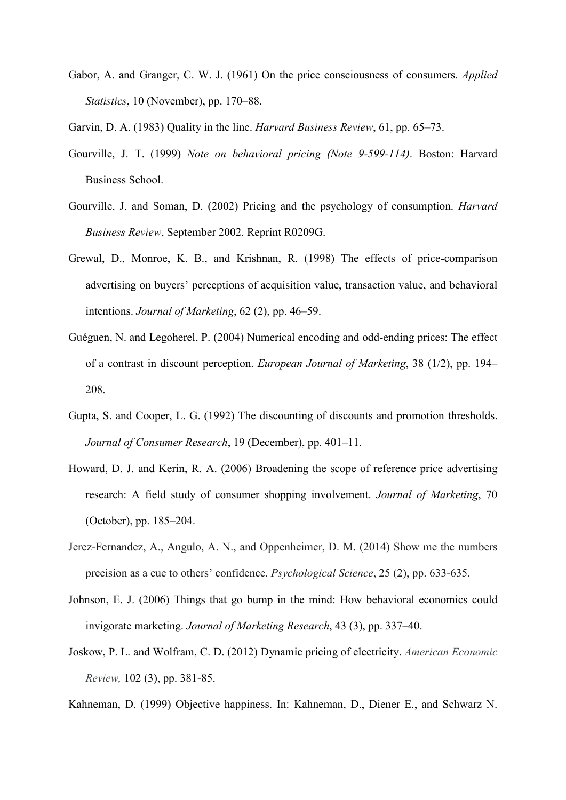- Gabor, A. and Granger, C. W. J. (1961) On the price consciousness of consumers. Applied *Statistics*, 10 (November), pp. 170–88.
- Garvin, D. A. (1983) Quality in the line. *Harvard Business Review*, 61, pp. 65–73.
- Gourville, J. T. (1999) Note on behavioral pricing (Note 9-599-114). Boston: Harvard Business School.
- Gourville, J. and Soman, D. (2002) Pricing and the psychology of consumption. *Harvard* Business Review, September 2002. Reprint R0209G.
- Grewal, D., Monroe, K. B., and Krishnan, R. (1998) The effects of price-comparison advertising on buyers' perceptions of acquisition value, transaction value, and behavioral intentions. *Journal of Marketing*, 62(2), pp. 46–59.
- Guéguen, N. and Legoherel, P. (2004) Numerical encoding and odd-ending prices: The effect of a contrast in discount perception. European Journal of Marketing, 38 (1/2), pp. 194– 208.
- Gupta, S. and Cooper, L. G. (1992) The discounting of discounts and promotion thresholds. Journal of Consumer Research, 19 (December), pp. 401–11.
- Howard, D. J. and Kerin, R. A. (2006) Broadening the scope of reference price advertising research: A field study of consumer shopping involvement. Journal of Marketing, 70 (October), pp. 185–204.
- Jerez-Fernandez, A., Angulo, A. N., and Oppenheimer, D. M. (2014) Show me the numbers precision as a cue to others' confidence. *Psychological Science*, 25 (2), pp. 633-635.
- Johnson, E. J. (2006) Things that go bump in the mind: How behavioral economics could invigorate marketing. Journal of Marketing Research, 43 (3), pp. 337–40.
- Joskow, P. L. and Wolfram, C. D. (2012) Dynamic pricing of electricity. American Economic Review, 102 (3), pp. 381-85.

Kahneman, D. (1999) Objective happiness. In: Kahneman, D., Diener E., and Schwarz N.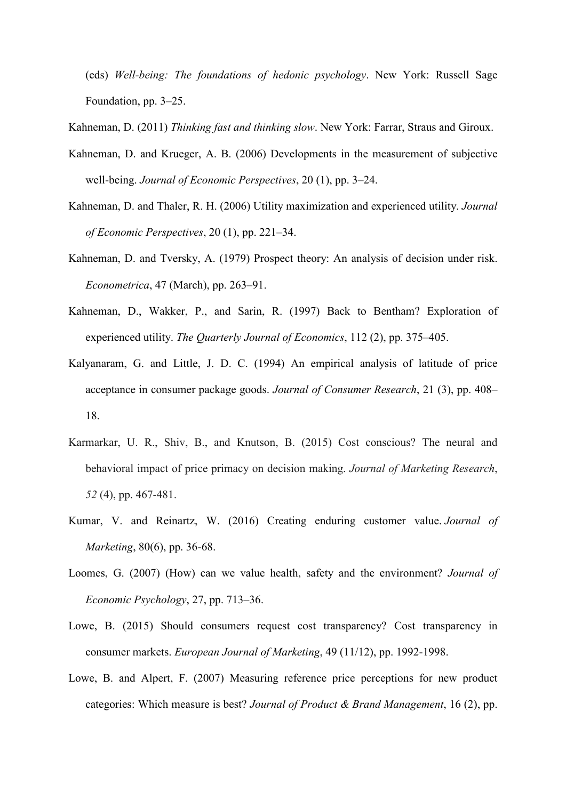(eds) Well-being: The foundations of hedonic psychology. New York: Russell Sage Foundation, pp. 3-25.

Kahneman, D. (2011) Thinking fast and thinking slow. New York: Farrar, Straus and Giroux.

- Kahneman, D. and Krueger, A. B. (2006) Developments in the measurement of subjective well-being. Journal of Economic Perspectives, 20 (1), pp. 3–24.
- Kahneman, D. and Thaler, R. H. (2006) Utility maximization and experienced utility. Journal of Economic Perspectives, 20 (1), pp. 221-34.
- Kahneman, D. and Tversky, A. (1979) Prospect theory: An analysis of decision under risk. *Econometrica*, 47 (March), pp. 263–91.
- Kahneman, D., Wakker, P., and Sarin, R. (1997) Back to Bentham? Exploration of experienced utility. The Quarterly Journal of Economics, 112 (2), pp. 375–405.
- Kalyanaram, G. and Little, J. D. C. (1994) An empirical analysis of latitude of price acceptance in consumer package goods. Journal of Consumer Research, 21 (3), pp. 408– 18.
- Karmarkar, U. R., Shiv, B., and Knutson, B. (2015) Cost conscious? The neural and behavioral impact of price primacy on decision making. Journal of Marketing Research,  $52(4)$ , pp. 467-481.
- Kumar, V. and Reinartz, W. (2016) Creating enduring customer value. Journal of Marketing, 80(6), pp. 36-68.
- Loomes, G. (2007) (How) can we value health, safety and the environment? Journal of Economic Psychology, 27, pp. 713–36.
- Lowe, B. (2015) Should consumers request cost transparency? Cost transparency in consumer markets. European Journal of Marketing, 49 (11/12), pp. 1992-1998.
- Lowe, B. and Alpert, F. (2007) Measuring reference price perceptions for new product categories: Which measure is best? Journal of Product & Brand Management, 16 (2), pp.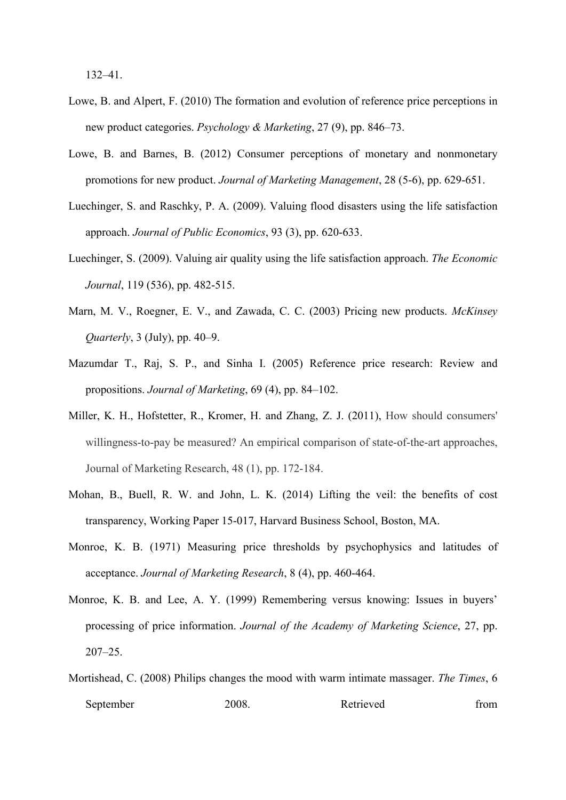$132 - 41$ .

- Lowe, B, and Alpert, F, (2010) The formation and evolution of reference price perceptions in new product categories. Psychology & Marketing, 27 (9), pp. 846–73.
- Lowe, B. and Barnes, B. (2012) Consumer perceptions of monetary and nonmonetary promotions for new product. Journal of Marketing Management, 28 (5-6), pp. 629-651.
- Luechinger, S. and Raschky, P. A. (2009). Valuing flood disasters using the life satisfaction approach. Journal of Public Economics, 93 (3), pp. 620-633.
- Luechinger, S. (2009). Valuing air quality using the life satisfaction approach. The Economic *Journal*, 119 (536), pp. 482-515.
- Marn, M. V., Roegner, E. V., and Zawada, C. C. (2003) Pricing new products. McKinsey *Quarterly*,  $3$  (July), pp. 40–9.
- Mazumdar T., Raj, S. P., and Sinha I. (2005) Reference price research: Review and propositions. Journal of Marketing, 69 (4), pp. 84–102.
- Miller, K. H., Hofstetter, R., Kromer, H. and Zhang, Z. J. (2011), How should consumers' willingness-to-pay be measured? An empirical comparison of state-of-the-art approaches, Journal of Marketing Research, 48 (1), pp. 172-184.
- Mohan, B., Buell, R. W. and John, L. K. (2014) Lifting the veil: the benefits of cost transparency, Working Paper 15-017, Harvard Business School, Boston, MA.
- Monroe, K. B. (1971) Measuring price thresholds by psychophysics and latitudes of acceptance. Journal of Marketing Research, 8 (4), pp. 460-464.
- Monroe, K. B. and Lee, A. Y. (1999) Remembering versus knowing: Issues in buvers' processing of price information. Journal of the Academy of Marketing Science, 27, pp.  $207 - 25$
- Mortishead, C. (2008) Philips changes the mood with warm intimate massager. The Times, 6 September Retrieved 2008. from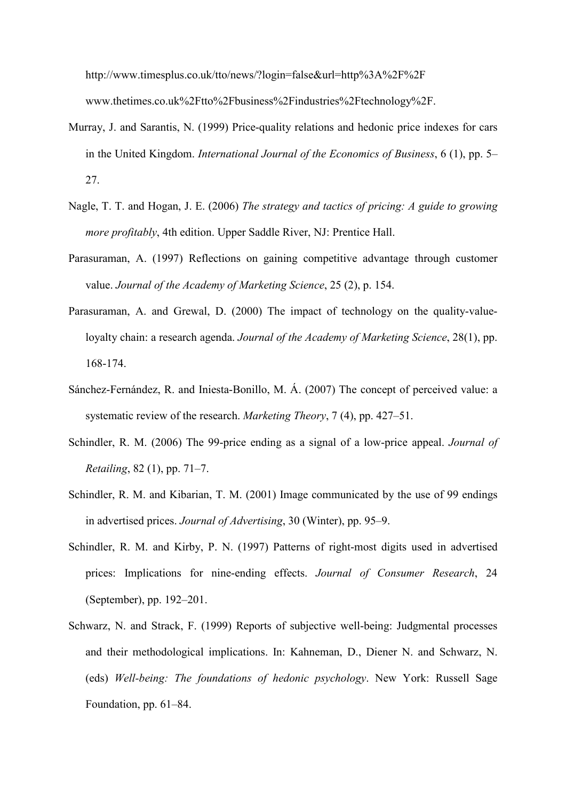http://www.timesplus.co.uk/tto/news/?login=false&url=http%3A%2F%2F www.thetimes.co.uk%2Ftto%2Fbusiness%2Findustries%2Ftechnology%2F.

- Murray, J. and Sarantis, N. (1999) Price-quality relations and hedonic price indexes for cars in the United Kingdom. International Journal of the Economics of Business,  $6(1)$ , pp. 5– 27.
- Nagle, T. T. and Hogan, J. E. (2006) The strategy and tactics of pricing: A guide to growing *more profitably*, 4th edition. Upper Saddle River, NJ: Prentice Hall.
- Parasuraman, A. (1997) Reflections on gaining competitive advantage through customer value. Journal of the Academy of Marketing Science, 25 (2), p. 154.
- Parasuraman, A. and Grewal, D. (2000) The impact of technology on the quality-valueloyalty chain: a research agenda. Journal of the Academy of Marketing Science, 28(1), pp. 168-174
- Sánchez-Fernández, R. and Iniesta-Bonillo, M. Á. (2007) The concept of perceived value: a systematic review of the research. Marketing Theory, 7 (4), pp. 427–51.
- Schindler, R. M. (2006) The 99-price ending as a signal of a low-price appeal. *Journal of Retailing*, 82(1), pp. 71–7.
- Schindler, R. M. and Kibarian, T. M. (2001) Image communicated by the use of 99 endings in advertised prices. Journal of Advertising, 30 (Winter), pp. 95–9.
- Schindler, R. M. and Kirby, P. N. (1997) Patterns of right-most digits used in advertised prices: Implications for nine-ending effects. Journal of Consumer Research, 24 (September), pp. 192–201.
- Schwarz, N. and Strack, F. (1999) Reports of subjective well-being: Judgmental processes and their methodological implications. In: Kahneman, D., Diener N. and Schwarz, N. (eds) Well-being: The foundations of hedonic psychology. New York: Russell Sage Foundation, pp. 61–84.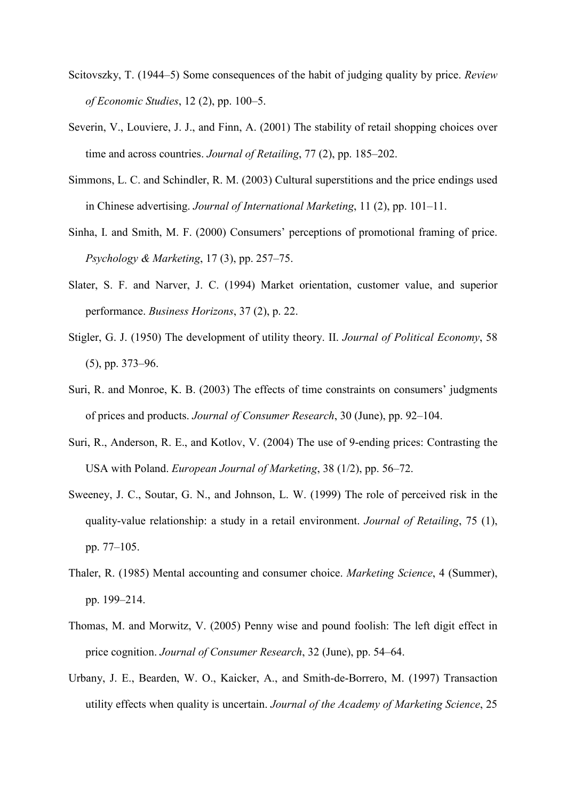- Scitovszky, T. (1944–5) Some consequences of the habit of judging quality by price. Review of Economic Studies, 12 (2), pp. 100–5.
- Severin, V., Louviere, J. J., and Finn, A. (2001) The stability of retail shopping choices over time and across countries. Journal of Retailing, 77 (2), pp. 185–202.
- Simmons, L. C. and Schindler, R. M. (2003) Cultural superstitions and the price endings used in Chinese advertising. Journal of International Marketing, 11 (2), pp. 101–11.
- Sinha, I. and Smith, M. F. (2000) Consumers' perceptions of promotional framing of price. Psychology & Marketing,  $17(3)$ , pp. 257–75.
- Slater, S. F. and Narver, J. C. (1994) Market orientation, customer value, and superior performance. Business Horizons, 37 (2), p. 22.
- Stigler, G. J. (1950) The development of utility theory. II. Journal of Political Economy, 58  $(5)$ , pp. 373–96.
- Suri, R. and Monroe, K. B. (2003) The effects of time constraints on consumers' judgments of prices and products. Journal of Consumer Research, 30 (June), pp. 92–104.
- Suri, R., Anderson, R. E., and Kotlov, V. (2004) The use of 9-ending prices: Contrasting the USA with Poland. *European Journal of Marketing*, 38 (1/2), pp. 56–72.
- Sweeney, J. C., Soutar, G. N., and Johnson, L. W. (1999) The role of perceived risk in the quality-value relationship: a study in a retail environment. Journal of Retailing, 75 (1), pp. 77-105.
- Thaler, R. (1985) Mental accounting and consumer choice. *Marketing Science*, 4 (Summer), pp. 199-214.
- Thomas, M. and Morwitz, V. (2005) Penny wise and pound foolish: The left digit effect in price cognition. Journal of Consumer Research, 32 (June), pp. 54–64.
- Urbany, J. E., Bearden, W. O., Kaicker, A., and Smith-de-Borrero, M. (1997) Transaction utility effects when quality is uncertain. Journal of the Academy of Marketing Science, 25